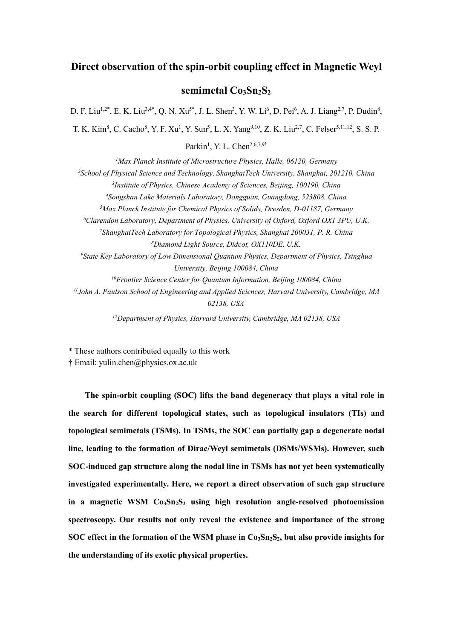## **Direct observation of the spin-orbit coupling effect in Magnetic Weyl**

## **semimetal Co3Sn2S<sup>2</sup>**

D. F. Liu<sup>1,2\*</sup>, E. K. Liu<sup>3,4\*</sup>, Q. N. Xu<sup>5\*</sup>, J. L. Shen<sup>3</sup>, Y. W. Li<sup>6</sup>, D. Pei<sup>6</sup>, A. J. Liang<sup>2,7</sup>, P. Dudin<sup>8</sup>,  $,$ T. K. Kim<sup>8</sup>, C. Cacho<sup>8</sup>, Y. F. Xu<sup>1</sup>, Y. Sun<sup>5</sup>, L. X. Yang<sup>9,10</sup>, Z. K. Liu<sup>2,7</sup>, C. Felser<sup>5,11,12</sup>, S. S. P.

Parkin<sup>1</sup>, Y. L. Chen<sup>2,6,7,9†</sup>

*Max Planck Institute of Microstructure Physics, Halle, 06120, Germany School of Physical Science and Technology, ShanghaiTech University, Shanghai, 201210, China Institute of Physics, Chinese Academy of Sciences, Beijing, 100190, China Songshan Lake Materials Laboratory, Dongguan, Guangdong, 523808, China Max Planck Institute for Chemical Physics of Solids, Dresden, D-01187, Germany Clarendon Laboratory, Department of Physics, University of Oxford, Oxford OX1 3PU, U.K. ShanghaiTech Laboratory for Topological Physics, Shanghai 200031, P. R. China Diamond Light Source, Didcot, OX110DE, U.K. State Key Laboratory of Low Dimensional Quantum Physics, Department of Physics, Tsinghua University, Beijing 100084, China Frontier Science Center for Quantum Information, Beijing 100084, China John A. Paulson School of Engineering and Applied Sciences, Harvard University, Cambridge, MA 02138, USA*

*<sup>12</sup>Department of Physics, Harvard University, Cambridge, MA 02138, USA*

\* These authors contributed equally to this work

† Email: [yulin.chen@physics.ox.ac.uk](mailto:yulin.chen@physics.ox.ac.uk)

**The spin-orbit coupling (SOC) lifts the band degeneracy that plays a vital role in the search for different topological states, such as topological insulators (TIs) and topological semimetals (TSMs). In TSMs, the SOC can partially gap a degenerate nodal line, leading to the formation of Dirac/Weyl semimetals (DSMs/WSMs). However, such SOC-induced gap structure along the nodal line in TSMs has not yet been systematically investigated experimentally. Here, we report a direct observation of such gap structure in amagnetic WSM Co3Sn2S<sup>2</sup> using high resolution angle-resolved photoemission spectroscopy. Our results not only reveal the existence and importance of the strong** SOC effect in the formation of the WSM phase in Co3Sn2S2, but also provide insights for **the understanding of its exotic physical properties.**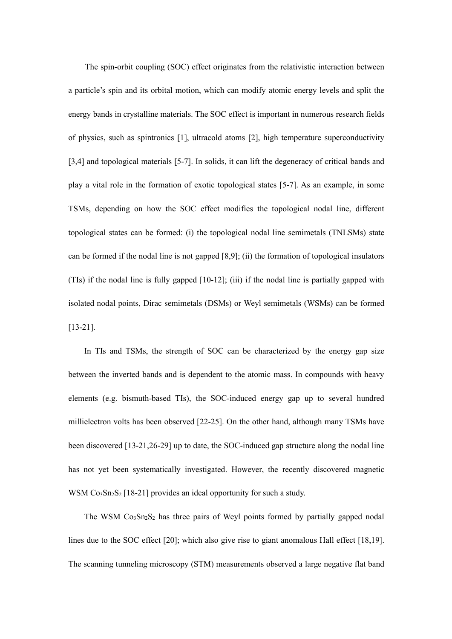The spin-orbit coupling (SOC) effect originates from the relativistic interaction between a particle's spin and its orbital motion, which can modify atomic energy levels and split the energy bands in crystalline materials. The SOC effect is important in numerous research fields of physics, such as spintronics [1], ultracold atoms [2], high temperature superconductivity [3,4] and topological materials [5-7]. In solids, it can lift the degeneracy of critical bands and play a vital role in the formation of exotic topological states [5-7].As an example, in some TSMs, depending on how the SOC effect modifies the topological nodal line, different topological states can be formed: (i) the topological nodal line semimetals (TNLSMs) state can be formed if the nodal line is not gapped [8,9]; (ii) the formation of topological insulators (TIs) if the nodal line is fully gapped  $[10-12]$ ; (iii) if the nodal line is partially gapped with isolated nodal points, Dirac semimetals (DSMs) or Weyl semimetals (WSMs) can be formed [13-21].

In TIs and TSMs, the strength of SOC can be characterized by the energy gap size between the inverted bands and is dependent to the atomic mass. In compounds with heavy elements (e.g. bismuth-based TIs), the SOC-induced energy gap up to several hundred millielectron volts has been observed [22-25]. On the other hand, although many TSMs have been discovered [13-21,26-29] up to date, the SOC-induced gap structure along the nodal line has not yet been systematically investigated. However, the recently discovered magnetic WSM  $Co<sub>3</sub>Sn<sub>2</sub>S<sub>2</sub>$  [18-21] provides an ideal opportunity for such a study.

The WSM  $Co<sub>3</sub>Sn<sub>2</sub>S<sub>2</sub>$  has three pairs of Weyl points formed by partially gapped nodal lines due to the SOC effect [20]; which also give rise to giant anomalous Hall effect [18,19]. The scanning tunneling microscopy (STM) measurements observed a large negative flat band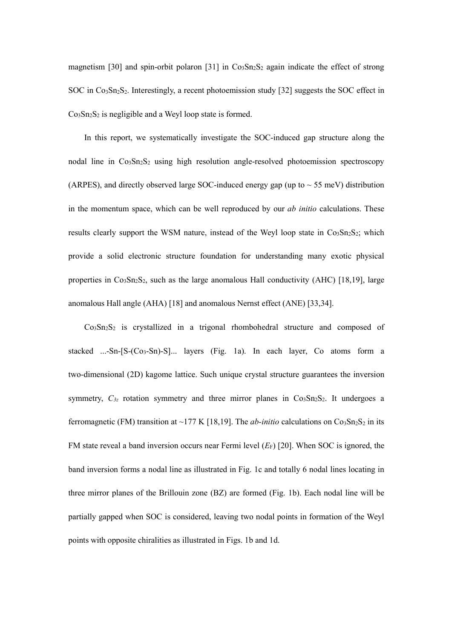magnetism [30] and spin-orbit polaron [31] in  $Co<sub>3</sub>Sn<sub>2</sub>S<sub>2</sub>$  again indicate the effect of strong SOC in  $Co<sub>3</sub>S<sub>12</sub>S<sub>2</sub>$ . Interestingly, a recent photoemission study [32] suggests the SOC effect in  $Co<sub>3</sub>Sn<sub>2</sub>S<sub>2</sub>$  is negligible and a Weyl loop state is formed.

In this report, we systematically investigate the SOC-induced gap structure along the nodal line in Co<sub>3</sub>Sn<sub>2</sub>S<sub>2</sub> using high resolution angle-resolved photoemission spectroscopy (ARPES), and directly observed large SOC-induced energy gap (up to  $\sim$  55 meV) distribution in the momentum space, which can be well reproduced by our *ab initio* calculations. These results clearly support the WSM nature, instead of the Weyl loop state in  $Co<sub>3</sub>Sn<sub>2</sub>S<sub>2</sub>$ ; which provide a solid electronic structure foundation for understanding many exotic physical properties in  $Co<sub>3</sub>Sn<sub>2</sub>S<sub>2</sub>$ , such as the large anomalous Hall conductivity (AHC) [18,19], large anomalous Hall angle (AHA) [18] and anomalous Nernst effect (ANE) [33,34].

 $Co<sub>3</sub>Sn<sub>2</sub>S<sub>2</sub>$  is crystallized in a trigonal rhombohedral structure and composed of stacked ...-Sn- $[S-(Co<sub>3</sub>-Sn)-S]$ ... layers (Fig. 1a). In each layer, Co atoms form a two-dimensional (2D) kagome lattice. Such unique crystal structure guarantees the inversion symmetry,  $C_{3z}$  rotation symmetry and three mirror planes in  $Co<sub>3</sub>Sn<sub>2</sub>S<sub>2</sub>$ . It undergoes a ferromagnetic (FM) transition at ~177 K [18,19]. The *ab-initio* calculations on  $Co<sub>3</sub>Sn<sub>2</sub>S<sub>2</sub>$  in its FM state reveal a band inversion occurs near Fermi level (*E*F) [20]. When SOC is ignored, the band inversion forms a nodal line as illustrated in Fig. 1c and totally 6 nodal lines locating in three mirror planes of the Brillouin zone (BZ) are formed (Fig. 1b). Each nodal line will be partially gapped when SOC is considered, leaving two nodal points in formation of the Weyl points with opposite chiralities as illustrated in Figs. 1b and 1d.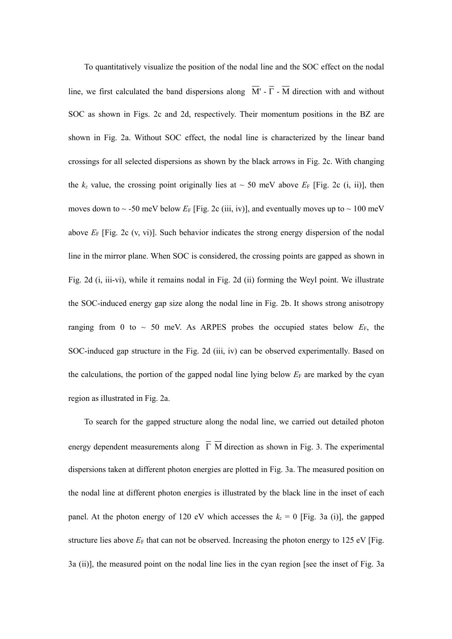To quantitatively visualize the position of the nodal line and the SOC effect on the nodal line, we first calculated the band dispersions along  $\overline{M}$  -  $\overline{\Gamma}$  -  $\overline{M}$  direction with and without SOC as shown in Figs. 2c and 2d, respectively. Their momentum positions in the BZ are shown in Fig. 2a. Without SOC effect, the nodal line is characterized by the linear band crossings for all selected dispersions as shown by the black arrows in Fig. 2c. With changing the  $k_z$  value, the crossing point originally lies at  $\sim$  50 meV above  $E_F$  [Fig. 2c (i, ii)], then moves down to  $\sim$  -50 meV below  $E_F$  [Fig. 2c (iii, iv)], and eventually moves up to  $\sim$  100 meV above *E*<sup>F</sup> [Fig. 2c (v, vi)]. Such behavior indicates the strong energy dispersion of the nodal line in the mirror plane. When SOC is considered, the crossing points are gapped as shown in Fig. 2d (i, iii-vi), while it remains nodal in Fig. 2d (ii) forming the Weyl point. We illustrate the SOC-induced energy gap size along the nodal line in Fig. 2b. It shows strong anisotropy ranging from 0 to  $\sim$  50 meV. As ARPES probes the occupied states below  $E_F$ , the SOC-induced gap structure in the Fig. 2d (iii, iv) can be observed experimentally. Based on the calculations, the portion of the gapped nodal line lying below  $E_F$  are marked by the cyan region as illustrated in Fig. 2a.

To search for the gapped structure along the nodal line, we carried out detailed photon energy dependent measurements along  $\overline{\Gamma}$  M direction as shown in Fig. 3. The experimental dispersions taken at different photon energies are plotted in Fig. 3a. The measured position on the nodal line at different photon energies is illustrated by the black line in the inset of each panel. At the photon energy of 120 eV which accesses the  $k_z = 0$  [Fig. 3a (i)], the gapped structure lies above  $E_F$  that can not be observed. Increasing the photon energy to 125 eV [Fig. 3a (ii)], the measured point on the nodal line lies in the cyan region [see the inset of Fig. 3a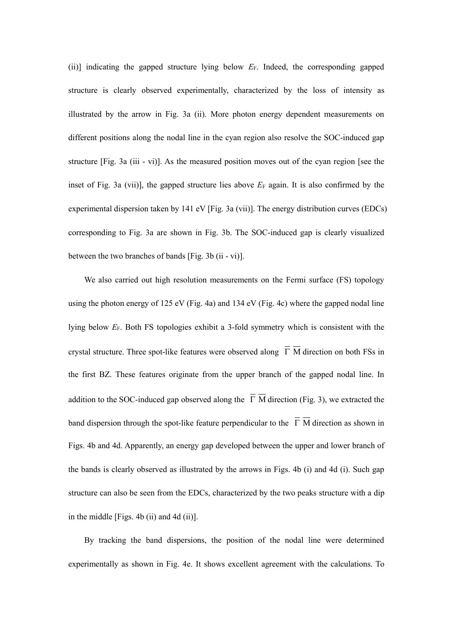(ii)] indicating the gapped structure lying below  $E<sub>F</sub>$ . Indeed, the corresponding gapped structure is clearly observed experimentally, characterized by the loss of intensity as illustrated by the arrow in Fig. 3a (ii). More photon energy dependent measurements on different positions along the nodal line in the cyan region also resolve the SOC-induced gap structure [Fig. 3a (iii - vi)]. As the measured position moves out of the cyan region [see the inset of Fig. 3a (vii)], the gapped structure lies above  $E_F$  again. It is also confirmed by the experimental dispersion taken by 141 eV [Fig. 3a (vii)]. The energy distribution curves (EDCs) corresponding to Fig. 3a are shown in Fig. 3b.The SOC-induced gap is clearly visualized between the two branches of bands [Fig. 3b  $(ii - vi)$ ].

We also carried out high resolution measurements on the Fermi surface (FS) topology using the photon energy of 125 eV (Fig. 4a) and 134 eV (Fig. 4c) where the gapped nodal line lying below *E*F. Both FS topologies exhibit a 3-fold symmetry which is consistent with the crystal structure. Three spot-like features were observed along  $\overline{\Gamma}$  M direction on both FSs in the first BZ. These features originate from the upper branch of the gapped nodal line. In addition to the SOC-induced gap observed along the  $\overline{\Gamma}$  M direction (Fig. 3), we extracted the band dispersion through the spot-like feature perpendicular to the  $\overline{\Gamma}$  M direction as shown in Figs. 4b and 4d. Apparently, an energy gap developed between the upper and lower branch of the bands is clearly observed as illustrated by the arrows in Figs. 4b (i) and 4d (i). Such gap structure can also be seen from the EDCs, characterized by the two peaks structure with a dip in the middle [Figs. 4b (ii) and 4d (ii)].

By tracking the band dispersions, the position of the nodal line were determined experimentally as shown in Fig. 4e. It shows excellent agreement with the calculations. To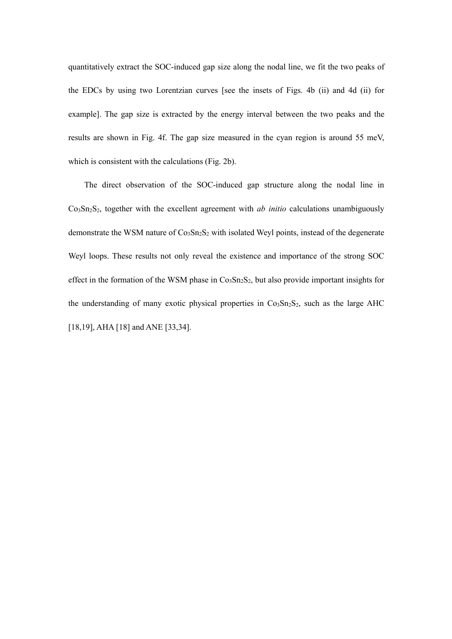quantitatively extract the SOC-induced gap size along the nodal line, we fit the two peaks of the EDCs by using two Lorentzian curves [see the insets of Figs. 4b (ii) and 4d (ii) for example]. The gap size is extracted by the energy interval between the two peaks and the results are shown in Fig. 4f. The gap size measured in the cyan region is around 55 meV, which is consistent with the calculations (Fig. 2b).

The direct observation of the SOC-induced gap structure along the nodal line in Co3Sn2S2, together with the excellent agreement with *ab initio* calculations unambiguously demonstrate the WSM nature of Co<sub>3</sub>Sn<sub>2</sub>S<sub>2</sub> with isolated Weyl points, instead of the degenerate Weyl loops. These results not only reveal the existence and importance of the strong SOC effect in the formation of the WSM phase in  $Co<sub>3</sub>Sn<sub>2</sub>S<sub>2</sub>$ , but also provide important insights for the understanding of many exotic physical properties in  $Co<sub>3</sub>Sn<sub>2</sub>S<sub>2</sub>$ , such as the large AHC [18,19], AHA [18] and ANE [33,34].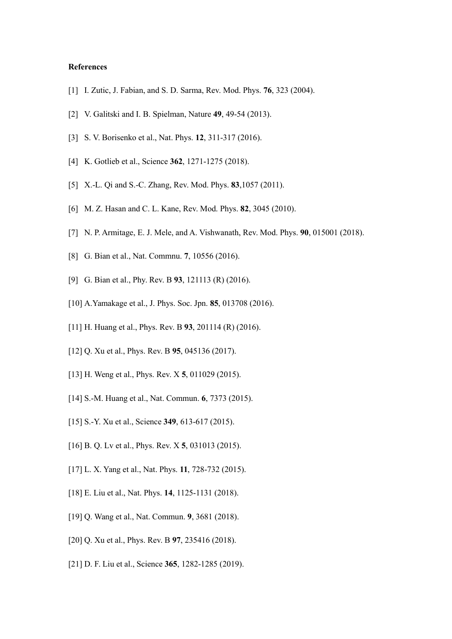## **References**

- [1] I. Zutic, J. Fabian, and S. D. Sarma, Rev. Mod. Phys. **76**, 323 (2004).
- [2] V.Galitski and I. B. Spielman, Nature **49**, 49-54 (2013).
- [3] S. V. Borisenko et al., Nat. Phys. **12**, 311-317 (2016).
- [4] K. Gotlieb et al., Science **362**, 1271-1275 (2018).
- [5] X.-L. Qi and S.-C. Zhang, Rev. Mod. Phys. **83**,1057 (2011).
- [6] M. Z. Hasan and C. L. Kane, Rev. Mod. Phys. **82**, 3045 (2010).
- [7] N. P. Armitage, E. J. Mele, and A. Vishwanath, Rev. Mod. Phys. **90**, 015001 (2018).
- [8] G. Bian et al., Nat. Commnu. **7**, 10556 (2016).
- 
- [9] G. Bian et al., Phy. Rev. <sup>B</sup> **<sup>93</sup>**, <sup>121113</sup> (R) (2016).[10] A.Yamakage et al., J. Phys. Soc. Jpn. **<sup>85</sup>**, <sup>013708</sup> (2016).
- [11] H. Huang et al., Phys. Rev. B **93**, 201114 (R) (2016).
- [12] Q. Xu et al., Phys. Rev. <sup>B</sup> **<sup>95</sup>**, <sup>045136</sup> (2017).[13] H. Weng et al., Phys. Rev. <sup>X</sup> **<sup>5</sup>**, 011029(2015).
- 
- [14] S.-M. Huang et al., Nat. Commun. **6**, 7373 (2015).
- [15] S.-Y. Xu et al., Science **349**, 613-617 (2015).
- [16] B. Q. Lv et al., Phys. Rev. X **5**, 031013(2015).
- [17] L. X. Yang et al., Nat. Phys. **11**, 728-732 (2015).
- [18] E. Liu et al., Nat. Phys. **14**, 1125-1131 (2018).
- [19] Q. Wang et al., Nat. Commun. **9**, 3681 (2018).
- [20] Q. Xu et al., Phys. Rev. <sup>B</sup> **<sup>97</sup>**, <sup>235416</sup> (2018).[21] D. F. Liu et al., Science **<sup>365</sup>**, 1282-1285 (2019).
-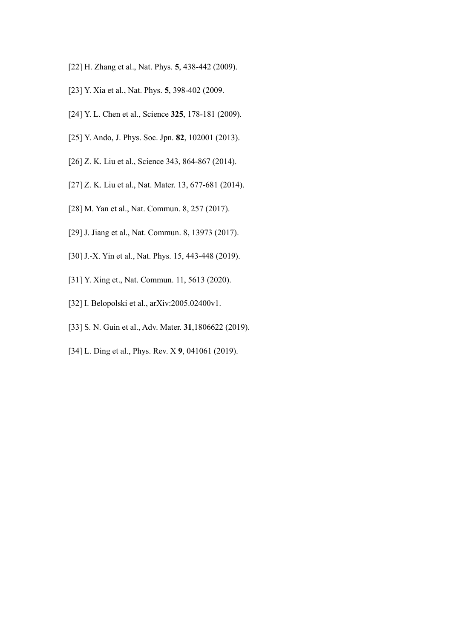- [22] H. Zhang et al., Nat. Phys. **5**, 438-442 (2009).
- [23] Y. Xia et al., Nat. Phys. **5**, 398-402 (2009.
- [24] Y. L. Chen et al., Science **325**, 178-181 (2009).
- [25] Y. Ando, J. Phys. Soc. Jpn. **82**, 102001 (2013).
- [26] Z. K. Liu et al., Science 343, 864-867 (2014).
- [27] Z. K. Liu et al., Nat. Mater. 13, 677-681 (2014).
- [28] M. Yan et al., Nat. Commun. 8, 257 (2017).
- [29] J. Jiang et al., Nat. Commun. 8, 13973 (2017).
- [30] J.-X. Yin et al., Nat. Phys. 15, 443-448 (2019).
- [31] Y. Xing et., Nat. Commun. 11, 5613 (2020).
- [32] I. Belopolski et al., arXiv:2005.02400v1.
- [33] S. N. Guin et al., Adv. Mater. **31**,1806622 (2019).
- [34] L. Ding et al., Phys. Rev. X **9**, 041061 (2019).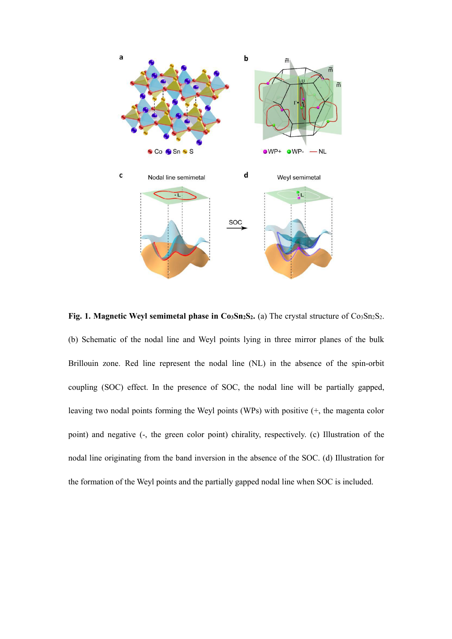

**Fig. 1. Magnetic Weyl semimetal phase in Co3Sn2S2.** (a) The crystal structure of Co3Sn2S2. (b) Schematic of the nodal line and Weyl points lying in three mirror planes of the bulk Brillouin zone. Red line represent the nodal line (NL) in the absence of the spin-orbit coupling (SOC) effect. In the presence of SOC, the nodal line will be partially gapped, leaving two nodal points forming the Weyl points (WPs) with positive (+, the magenta color point) and negative (-, the green color point) chirality, respectively. (c) Illustration of the nodal line originating from the band inversion in the absence of the SOC. (d) Illustration for the formation of the Weyl points and the partially gapped nodal line when SOC is included.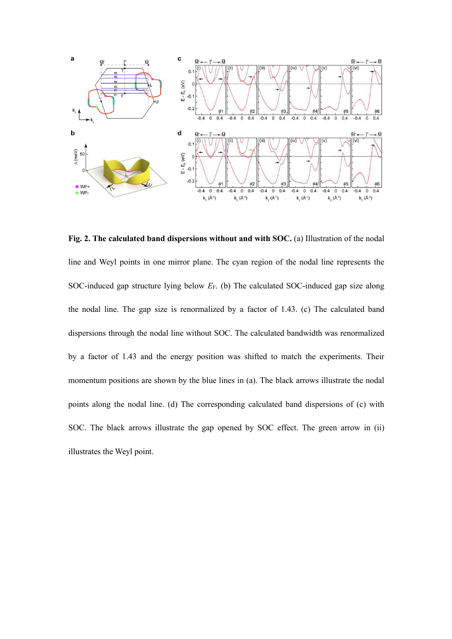

**Fig. 2. The calculated band dispersions without and with SOC.** (a) Illustration of the nodal line and Weyl points in one mirror plane. The cyan region of the nodal line represents the SOC-induced gap structure lying below  $E_F$ . (b) The calculated SOC-induced gap size along the nodal line. The gap size is renormalized by a factor of 1.43. (c) The calculated band dispersions through the nodal line without SOC. The calculated bandwidth was renormalized by a factor of 1.43 and the energy position was shifted to match the experiments. Their momentum positions are shown by the blue lines in (a). The black arrows illustrate the nodal points along the nodal line. (d) The corresponding calculated band dispersions of (c) with SOC. The black arrows illustrate the gap opened by SOC effect. The green arrow in (ii) illustrates the Weyl point.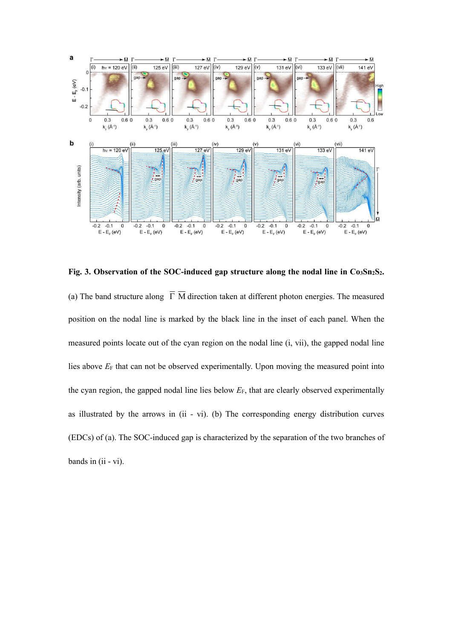

Fig. 3. Observation of the SOC-induced gap structure along the nodal line in  $Co<sub>3</sub>Sn<sub>2</sub>S<sub>2</sub>$ . (a) The band structure along  $\overline{\Gamma}$  M direction taken at different photon energies. The measured position on the nodal line is marked by the black line in the inset of each panel. When the measured points locate out of the cyan region on the nodal line (i, vii), the gapped nodal line lies above  $E_F$  that can not be observed experimentally. Upon moving the measured point into the cyan region, the gapped nodal line lies below *E*F, that are clearly observed experimentally as illustrated by the arrows in (ii - vi). (b) The corresponding energy distribution curves (EDCs) of (a).The SOC-induced gap is characterized by the separation of the two branches of bands in (ii - vi).